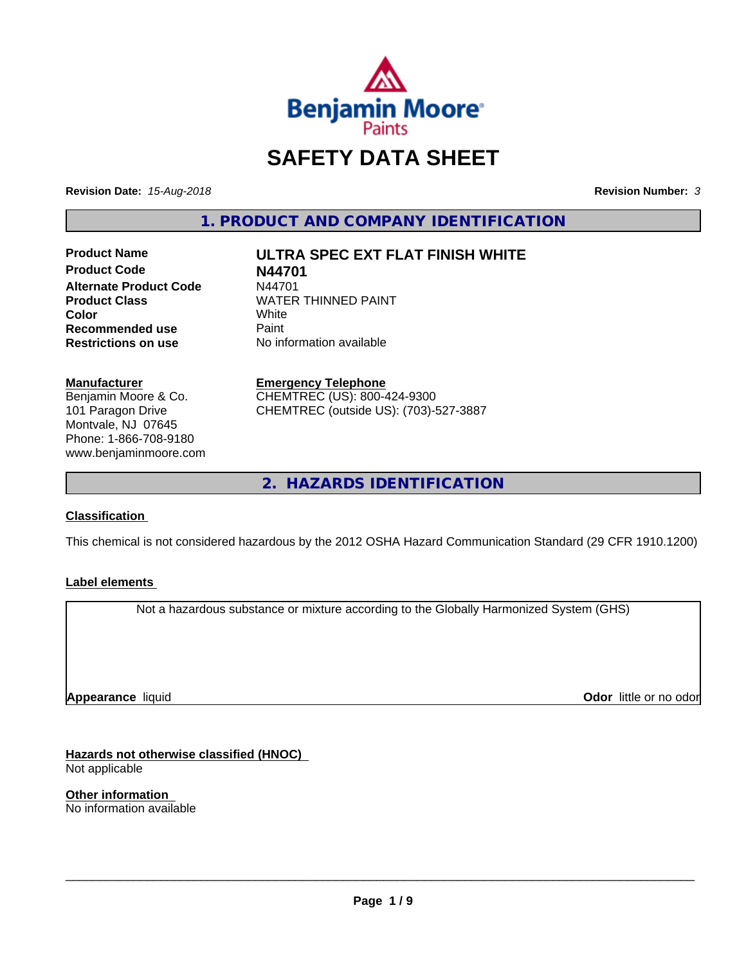

# **SAFETY DATA SHEET**

**Revision Date:** *15-Aug-2018* **Revision Number:** *3*

**1. PRODUCT AND COMPANY IDENTIFICATION**

**Product Name ULTRA SPEC EXT FLAT FINISH WHITE Product Code N44701 Alternate Product Code M44701<br>Product Class MATER Recommended use** Paint<br> **Restrictions on use** No inf

**WATER THINNED PAINT**<br>White **Color** White White **No information available** 

**Manufacturer** Benjamin Moore & Co. 101 Paragon Drive Montvale, NJ 07645 Phone: 1-866-708-9180 www.benjaminmoore.com

#### **Emergency Telephone** CHEMTREC (US): 800-424-9300 CHEMTREC (outside US): (703)-527-3887

**2. HAZARDS IDENTIFICATION**

# **Classification**

This chemical is not considered hazardous by the 2012 OSHA Hazard Communication Standard (29 CFR 1910.1200)

### **Label elements**

Not a hazardous substance or mixture according to the Globally Harmonized System (GHS)

**Appearance** liquid

**Odor** little or no odor

**Hazards not otherwise classified (HNOC)** Not applicable

**Other information** No information available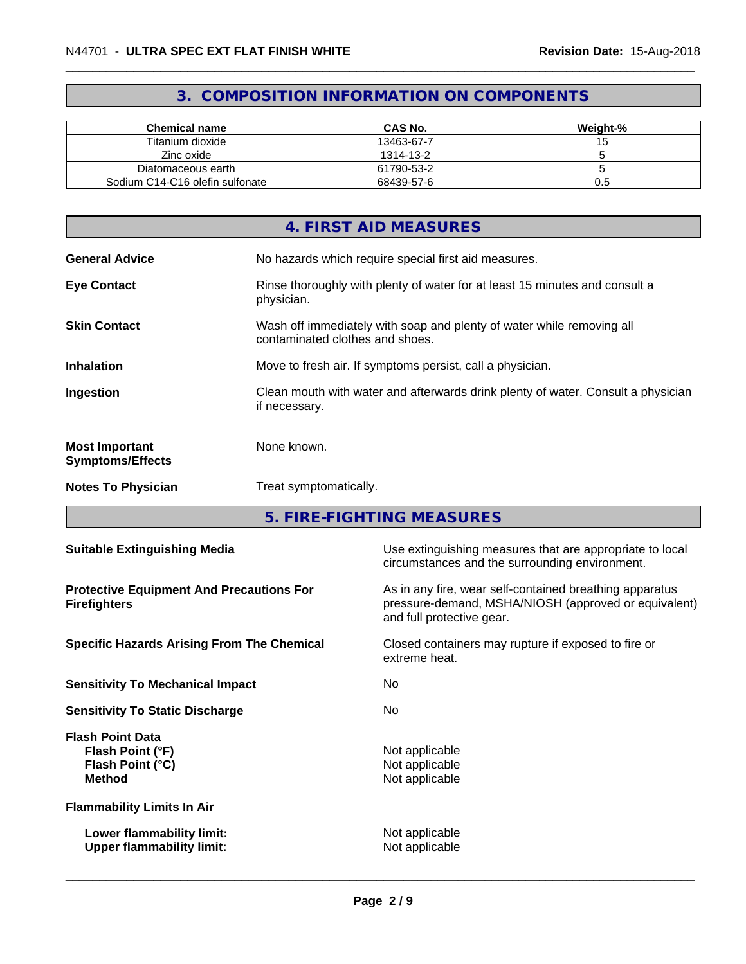# **3. COMPOSITION INFORMATION ON COMPONENTS**

| <b>Chemical name</b>            | <b>CAS No.</b> | Weight-% |
|---------------------------------|----------------|----------|
| Titanium dioxide                | 13463-67-7     |          |
| Zinc oxide                      | 1314-13-2      |          |
| Diatomaceous earth              | 61790-53-2     |          |
| Sodium C14-C16 olefin sulfonate | 68439-57-6     | U.5      |

|                                                  | 4. FIRST AID MEASURES                                                                                    |
|--------------------------------------------------|----------------------------------------------------------------------------------------------------------|
| <b>General Advice</b>                            | No hazards which require special first aid measures.                                                     |
| <b>Eye Contact</b>                               | Rinse thoroughly with plenty of water for at least 15 minutes and consult a<br>physician.                |
| <b>Skin Contact</b>                              | Wash off immediately with soap and plenty of water while removing all<br>contaminated clothes and shoes. |
| <b>Inhalation</b>                                | Move to fresh air. If symptoms persist, call a physician.                                                |
| Ingestion                                        | Clean mouth with water and afterwards drink plenty of water. Consult a physician<br>if necessary.        |
| <b>Most Important</b><br><b>Symptoms/Effects</b> | None known.                                                                                              |
| <b>Notes To Physician</b>                        | Treat symptomatically.                                                                                   |

**5. FIRE-FIGHTING MEASURES**

| <b>Suitable Extinguishing Media</b>                                              | Use extinguishing measures that are appropriate to local<br>circumstances and the surrounding environment.                                   |
|----------------------------------------------------------------------------------|----------------------------------------------------------------------------------------------------------------------------------------------|
| <b>Protective Equipment And Precautions For</b><br><b>Firefighters</b>           | As in any fire, wear self-contained breathing apparatus<br>pressure-demand, MSHA/NIOSH (approved or equivalent)<br>and full protective gear. |
| <b>Specific Hazards Arising From The Chemical</b>                                | Closed containers may rupture if exposed to fire or<br>extreme heat.                                                                         |
| <b>Sensitivity To Mechanical Impact</b>                                          | No                                                                                                                                           |
| <b>Sensitivity To Static Discharge</b>                                           | No.                                                                                                                                          |
| <b>Flash Point Data</b><br>Flash Point (°F)<br>Flash Point (°C)<br><b>Method</b> | Not applicable<br>Not applicable<br>Not applicable                                                                                           |
| <b>Flammability Limits In Air</b>                                                |                                                                                                                                              |
| Lower flammability limit:<br><b>Upper flammability limit:</b>                    | Not applicable<br>Not applicable                                                                                                             |
|                                                                                  |                                                                                                                                              |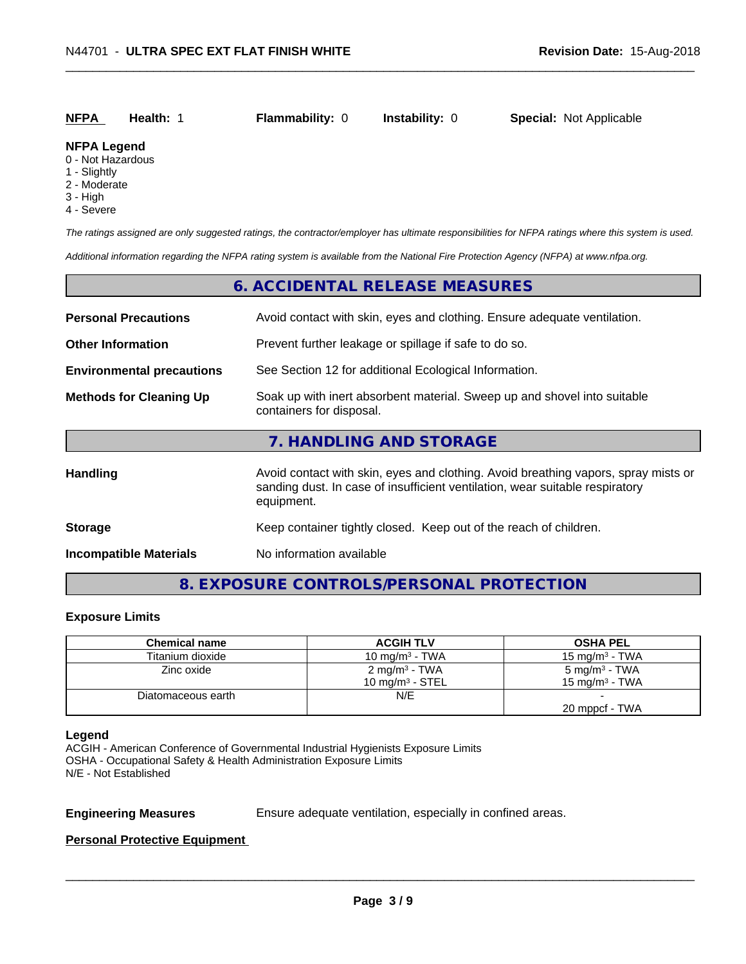# **NFPA Health:** 1 **Flammability:** 0 **Instability:** 0 **Special:** Not Applicable

#### **NFPA Legend**

- 0 Not Hazardous
- 1 Slightly
- 2 Moderate
- 3 High
- 4 Severe

*The ratings assigned are only suggested ratings, the contractor/employer has ultimate responsibilities for NFPA ratings where this system is used.*

*Additional information regarding the NFPA rating system is available from the National Fire Protection Agency (NFPA) at www.nfpa.org.*

# **6. ACCIDENTAL RELEASE MEASURES**

| <b>Personal Precautions</b>      | Avoid contact with skin, eyes and clothing. Ensure adequate ventilation.                                                                                                         |
|----------------------------------|----------------------------------------------------------------------------------------------------------------------------------------------------------------------------------|
| <b>Other Information</b>         | Prevent further leakage or spillage if safe to do so.                                                                                                                            |
| <b>Environmental precautions</b> | See Section 12 for additional Ecological Information.                                                                                                                            |
| <b>Methods for Cleaning Up</b>   | Soak up with inert absorbent material. Sweep up and shovel into suitable<br>containers for disposal.                                                                             |
|                                  | 7. HANDLING AND STORAGE                                                                                                                                                          |
| <b>Handling</b>                  | Avoid contact with skin, eyes and clothing. Avoid breathing vapors, spray mists or<br>sanding dust. In case of insufficient ventilation, wear suitable respiratory<br>equipment. |
| <b>Storage</b>                   | Keep container tightly closed. Keep out of the reach of children.                                                                                                                |
| <b>Incompatible Materials</b>    | No information available                                                                                                                                                         |

# **8. EXPOSURE CONTROLS/PERSONAL PROTECTION**

#### **Exposure Limits**

| <b>Chemical name</b> | <b>ACGIH TLV</b>          | <b>OSHA PEL</b>           |
|----------------------|---------------------------|---------------------------|
| Titanium dioxide     | 10 mg/m $3$ - TWA         | $15 \text{ ma/m}^3$ - TWA |
| Zinc oxide           | 2 mg/m <sup>3</sup> - TWA | 5 mg/m <sup>3</sup> - TWA |
|                      | 10 mg/m $3$ - STEL        | 15 mg/m $3$ - TWA         |
| Diatomaceous earth   | N/E                       |                           |
|                      |                           | 20 mppcf - TWA            |

#### **Legend**

ACGIH - American Conference of Governmental Industrial Hygienists Exposure Limits OSHA - Occupational Safety & Health Administration Exposure Limits N/E - Not Established

**Engineering Measures** Ensure adequate ventilation, especially in confined areas.

 $\overline{\phantom{a}}$  ,  $\overline{\phantom{a}}$  ,  $\overline{\phantom{a}}$  ,  $\overline{\phantom{a}}$  ,  $\overline{\phantom{a}}$  ,  $\overline{\phantom{a}}$  ,  $\overline{\phantom{a}}$  ,  $\overline{\phantom{a}}$  ,  $\overline{\phantom{a}}$  ,  $\overline{\phantom{a}}$  ,  $\overline{\phantom{a}}$  ,  $\overline{\phantom{a}}$  ,  $\overline{\phantom{a}}$  ,  $\overline{\phantom{a}}$  ,  $\overline{\phantom{a}}$  ,  $\overline{\phantom{a}}$ 

#### **Personal Protective Equipment**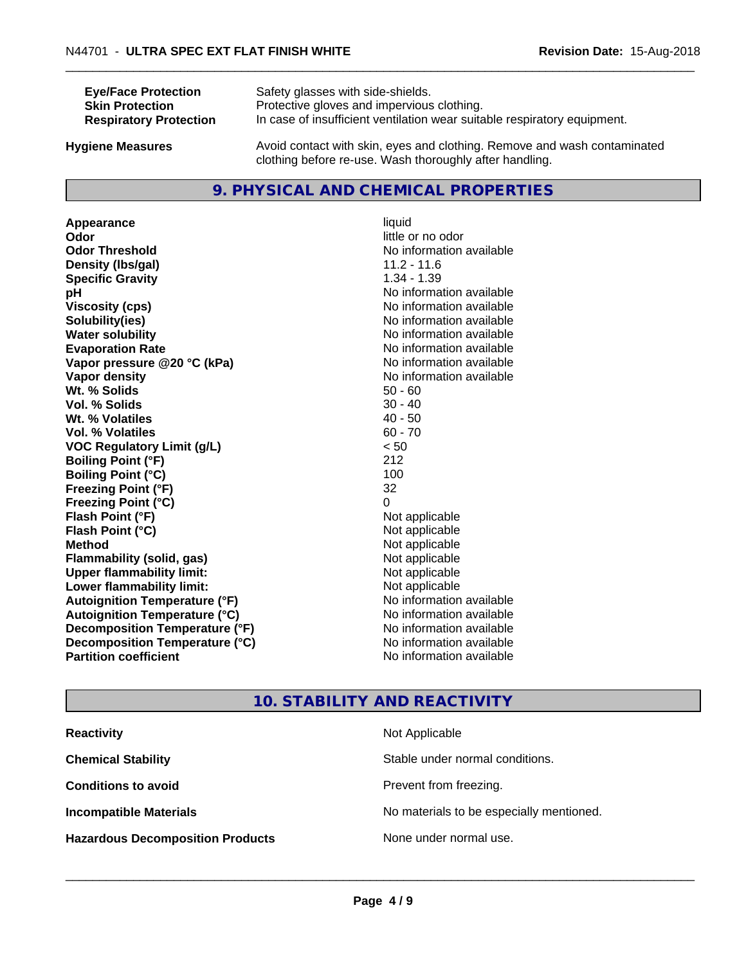| <b>Eye/Face Protection</b>    | Safety glasses with side-shields.                                        |
|-------------------------------|--------------------------------------------------------------------------|
| <b>Skin Protection</b>        | Protective gloves and impervious clothing.                               |
| <b>Respiratory Protection</b> | In case of insufficient ventilation wear suitable respiratory equipment. |
| Ivaiono Moscuros              | Avoid contact with skin, eves and clothing. Remove and wash contaminated |

**Hygiene Measures** Avoid contact with skin, eyes and clothing. Remove and wash contaminated clothing before re-use. Wash thoroughly after handling.

# **9. PHYSICAL AND CHEMICAL PROPERTIES**

**Appearance** liquid **Odor** little or no odor **Odor Threshold** No information available **Density (lbs/gal)** 11.2 - 11.6 **Specific Gravity** 1.34 - 1.39 **pH** No information available **Viscosity (cps)** No information available<br> **Solubility (ies)** No information available<br>
No information available **Solubility(ies)**<br> **No information available**<br> **Water solubility**<br> **Water solubility Evaporation Rate Evaporation Rate No information available Vapor pressure @20 °C (kPa)** No information available **Vapor density** No information available values and values of  $\alpha$  No information available **Wt. % Solids** 50 - 60<br> **Vol. % Solids** 50 - 40 **Vol. % Solids Wt.** % Volatiles 40 - 50 **Vol. % Volatiles** 60 - 70 **VOC Regulatory Limit (g/L)** < 50 **Boiling Point (°F)** 212 **Boiling Point**  $(^{\circ}C)$  100 **Freezing Point (°F)** 32 **Freezing Point (°C)** 0 **Flash Point (°F)** Not applicable **Flash Point (°C)** Not applicable **Method** Not applicable<br> **Flammability (solid, gas)** Not applicable Not applicable **Flammability** (solid, gas) **Upper flammability limit:**<br> **Lower flammability limit:** Not applicable Not applicable **Lower flammability limit:**<br> **Autoignition Temperature (°F)** Not applicable havailable **Autoignition Temperature (°F) Autoignition Temperature (°C)** No information available **Decomposition Temperature (°F)** No information available **Decomposition Temperature (°C)**<br> **Partition coefficient**<br> **Partition coefficient**<br> **Partition coefficient** 

**No information available No information available** 

# **10. STABILITY AND REACTIVITY**

| <b>Reactivity</b>                       | Not Applicable                           |
|-----------------------------------------|------------------------------------------|
| <b>Chemical Stability</b>               | Stable under normal conditions.          |
| <b>Conditions to avoid</b>              | Prevent from freezing.                   |
| <b>Incompatible Materials</b>           | No materials to be especially mentioned. |
| <b>Hazardous Decomposition Products</b> | None under normal use.                   |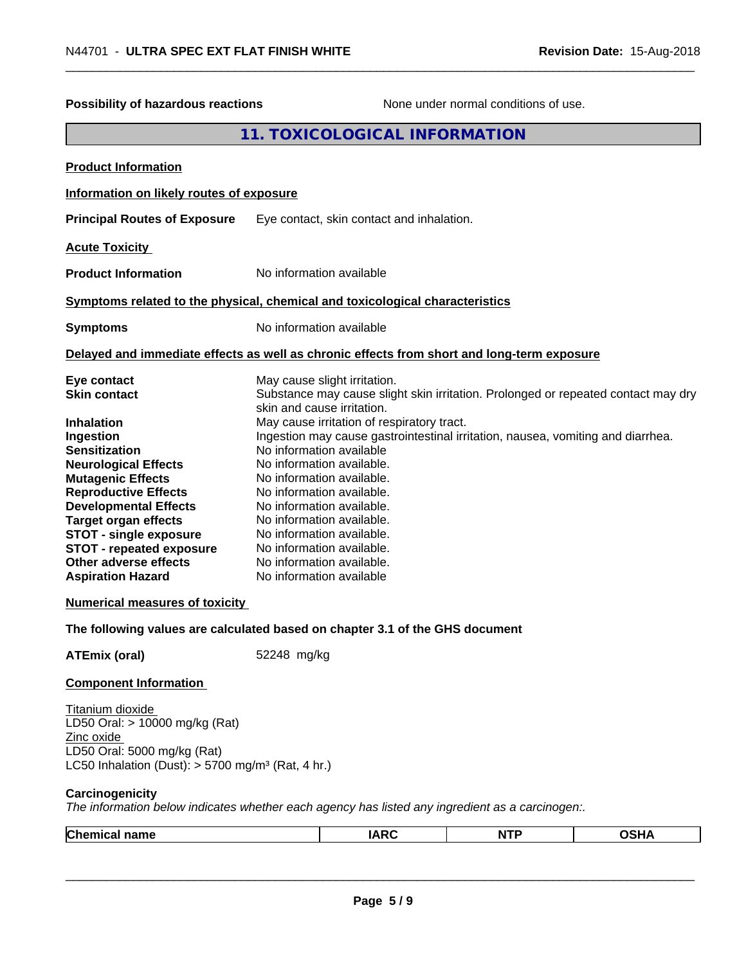| Possibility of hazardous reactions                                                                                                                                                                                                                                                                                                                                                                                                                                                                      |             |                                                                                                                                                                                                                                                                                                                                                                                                                                                                                                                                                                                  | None under normal conditions of use. |             |
|---------------------------------------------------------------------------------------------------------------------------------------------------------------------------------------------------------------------------------------------------------------------------------------------------------------------------------------------------------------------------------------------------------------------------------------------------------------------------------------------------------|-------------|----------------------------------------------------------------------------------------------------------------------------------------------------------------------------------------------------------------------------------------------------------------------------------------------------------------------------------------------------------------------------------------------------------------------------------------------------------------------------------------------------------------------------------------------------------------------------------|--------------------------------------|-------------|
|                                                                                                                                                                                                                                                                                                                                                                                                                                                                                                         |             | 11. TOXICOLOGICAL INFORMATION                                                                                                                                                                                                                                                                                                                                                                                                                                                                                                                                                    |                                      |             |
| <b>Product Information</b>                                                                                                                                                                                                                                                                                                                                                                                                                                                                              |             |                                                                                                                                                                                                                                                                                                                                                                                                                                                                                                                                                                                  |                                      |             |
| Information on likely routes of exposure                                                                                                                                                                                                                                                                                                                                                                                                                                                                |             |                                                                                                                                                                                                                                                                                                                                                                                                                                                                                                                                                                                  |                                      |             |
| <b>Principal Routes of Exposure</b>                                                                                                                                                                                                                                                                                                                                                                                                                                                                     |             | Eye contact, skin contact and inhalation.                                                                                                                                                                                                                                                                                                                                                                                                                                                                                                                                        |                                      |             |
| <b>Acute Toxicity</b>                                                                                                                                                                                                                                                                                                                                                                                                                                                                                   |             |                                                                                                                                                                                                                                                                                                                                                                                                                                                                                                                                                                                  |                                      |             |
| <b>Product Information</b>                                                                                                                                                                                                                                                                                                                                                                                                                                                                              |             | No information available                                                                                                                                                                                                                                                                                                                                                                                                                                                                                                                                                         |                                      |             |
| Symptoms related to the physical, chemical and toxicological characteristics                                                                                                                                                                                                                                                                                                                                                                                                                            |             |                                                                                                                                                                                                                                                                                                                                                                                                                                                                                                                                                                                  |                                      |             |
| <b>Symptoms</b>                                                                                                                                                                                                                                                                                                                                                                                                                                                                                         |             | No information available                                                                                                                                                                                                                                                                                                                                                                                                                                                                                                                                                         |                                      |             |
| Delayed and immediate effects as well as chronic effects from short and long-term exposure                                                                                                                                                                                                                                                                                                                                                                                                              |             |                                                                                                                                                                                                                                                                                                                                                                                                                                                                                                                                                                                  |                                      |             |
| Eye contact<br><b>Skin contact</b><br><b>Inhalation</b><br>Ingestion<br><b>Sensitization</b><br><b>Neurological Effects</b><br><b>Mutagenic Effects</b><br><b>Reproductive Effects</b><br><b>Developmental Effects</b><br><b>Target organ effects</b><br><b>STOT - single exposure</b><br><b>STOT - repeated exposure</b><br>Other adverse effects<br><b>Aspiration Hazard</b><br><b>Numerical measures of toxicity</b><br>The following values are calculated based on chapter 3.1 of the GHS document |             | May cause slight irritation.<br>Substance may cause slight skin irritation. Prolonged or repeated contact may dry<br>skin and cause irritation.<br>May cause irritation of respiratory tract.<br>Ingestion may cause gastrointestinal irritation, nausea, vomiting and diarrhea.<br>No information available<br>No information available.<br>No information available.<br>No information available.<br>No information available.<br>No information available.<br>No information available.<br>No information available.<br>No information available.<br>No information available |                                      |             |
| <b>ATEmix (oral)</b>                                                                                                                                                                                                                                                                                                                                                                                                                                                                                    | 52248 mg/kg |                                                                                                                                                                                                                                                                                                                                                                                                                                                                                                                                                                                  |                                      |             |
| <b>Component Information</b>                                                                                                                                                                                                                                                                                                                                                                                                                                                                            |             |                                                                                                                                                                                                                                                                                                                                                                                                                                                                                                                                                                                  |                                      |             |
| Titanium dioxide<br>LD50 Oral: > 10000 mg/kg (Rat)<br>Zinc oxide<br>LD50 Oral: 5000 mg/kg (Rat)<br>LC50 Inhalation (Dust): $> 5700$ mg/m <sup>3</sup> (Rat, 4 hr.)                                                                                                                                                                                                                                                                                                                                      |             |                                                                                                                                                                                                                                                                                                                                                                                                                                                                                                                                                                                  |                                      |             |
| Carcinogenicity<br>The information below indicates whether each agency has listed any ingredient as a carcinogen:.                                                                                                                                                                                                                                                                                                                                                                                      |             |                                                                                                                                                                                                                                                                                                                                                                                                                                                                                                                                                                                  |                                      |             |
| <b>Chemical name</b>                                                                                                                                                                                                                                                                                                                                                                                                                                                                                    |             | <b>IARC</b>                                                                                                                                                                                                                                                                                                                                                                                                                                                                                                                                                                      | <b>NTP</b>                           | <b>OSHA</b> |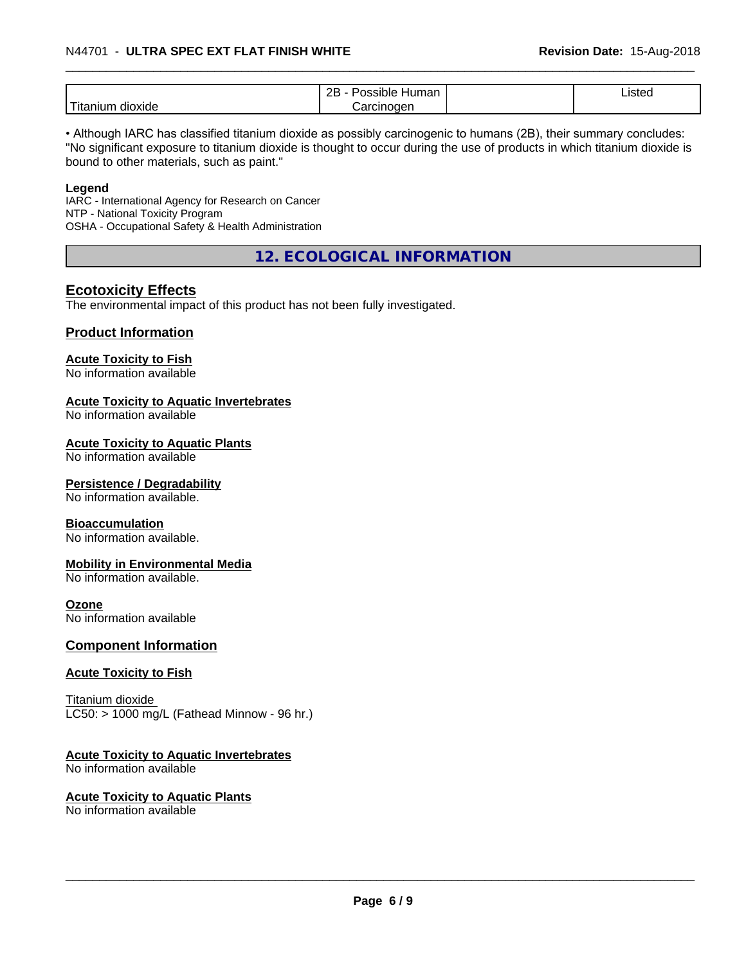#### \_\_\_\_\_\_\_\_\_\_\_\_\_\_\_\_\_\_\_\_\_\_\_\_\_\_\_\_\_\_\_\_\_\_\_\_\_\_\_\_\_\_\_\_\_\_\_\_\_\_\_\_\_\_\_\_\_\_\_\_\_\_\_\_\_\_\_\_\_\_\_\_\_\_\_\_\_\_\_\_\_\_\_\_\_\_\_\_\_\_\_\_\_ N44701 - **ULTRA SPEC EXT FLAT FINISH WHITE Revision Date:** 15-Aug-2018

|                               | <br>റല<br>ssible;<br>Human<br>-- | $\overline{\phantom{a}}$<br>10 <sup>4</sup><br>"SIEC<br>معاد<br>$    -$ |  |
|-------------------------------|----------------------------------|-------------------------------------------------------------------------|--|
| .<br><br>dioxide<br>1 Itanium | nen<br>.:in                      |                                                                         |  |

• Although IARC has classified titanium dioxide as possibly carcinogenic to humans (2B), their summary concludes: "No significant exposure to titanium dioxide is thought to occur during the use of products in which titanium dioxide is bound to other materials, such as paint."

#### **Legend**

IARC - International Agency for Research on Cancer NTP - National Toxicity Program OSHA - Occupational Safety & Health Administration

**12. ECOLOGICAL INFORMATION**

# **Ecotoxicity Effects**

The environmental impact of this product has not been fully investigated.

#### **Product Information**

# **Acute Toxicity to Fish**

No information available

# **Acute Toxicity to Aquatic Invertebrates**

No information available

#### **Acute Toxicity to Aquatic Plants**

No information available

#### **Persistence / Degradability**

No information available.

#### **Bioaccumulation**

No information available.

#### **Mobility in Environmental Media**

No information available.

#### **Ozone**

No information available

#### **Component Information**

#### **Acute Toxicity to Fish**

Titanium dioxide  $LC50:$  > 1000 mg/L (Fathead Minnow - 96 hr.)

#### **Acute Toxicity to Aquatic Invertebrates**

No information available

# **Acute Toxicity to Aquatic Plants**

No information available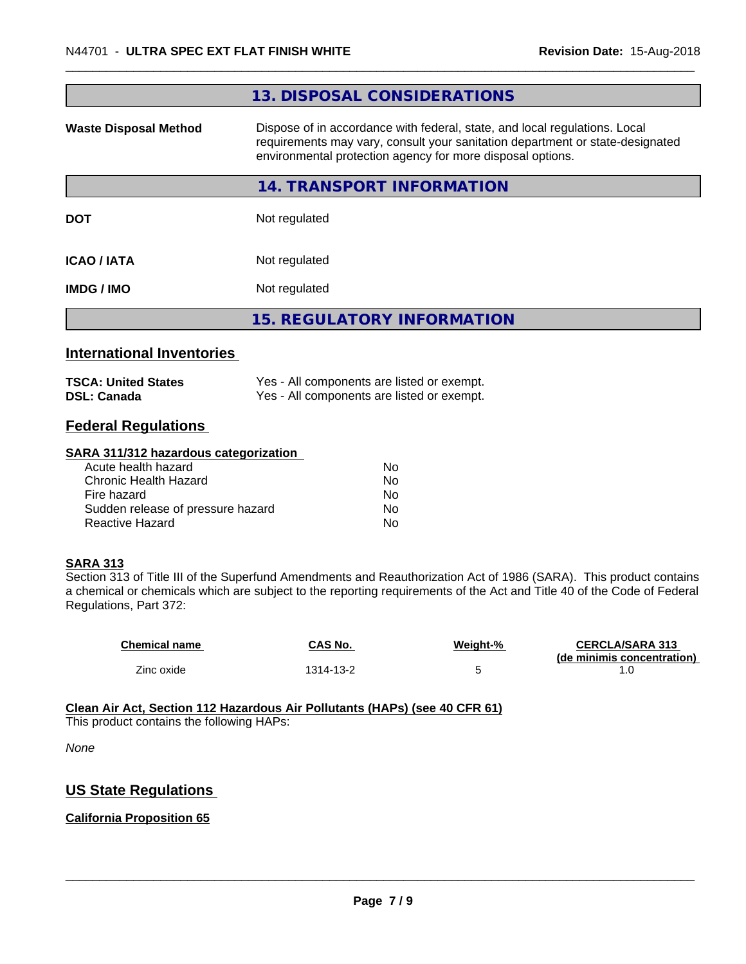|                                  | 13. DISPOSAL CONSIDERATIONS                                                                                                                                                                                               |
|----------------------------------|---------------------------------------------------------------------------------------------------------------------------------------------------------------------------------------------------------------------------|
| <b>Waste Disposal Method</b>     | Dispose of in accordance with federal, state, and local regulations. Local<br>requirements may vary, consult your sanitation department or state-designated<br>environmental protection agency for more disposal options. |
|                                  | <b>14. TRANSPORT INFORMATION</b>                                                                                                                                                                                          |
| <b>DOT</b>                       | Not regulated                                                                                                                                                                                                             |
| <b>ICAO / IATA</b>               | Not regulated                                                                                                                                                                                                             |
| <b>IMDG / IMO</b>                | Not regulated                                                                                                                                                                                                             |
|                                  | <b>15. REGULATORY INFORMATION</b>                                                                                                                                                                                         |
| <b>International Inventories</b> |                                                                                                                                                                                                                           |
| <b>TSCA: United States</b>       | Yes - All components are listed or exempt.                                                                                                                                                                                |

| <b>DSL: Canada</b> | Yes - All components are listed or exempt. |  |
|--------------------|--------------------------------------------|--|
|                    |                                            |  |

# **Federal Regulations**

#### **SARA 311/312 hazardous categorization**

| Acute health hazard               | No |  |
|-----------------------------------|----|--|
| Chronic Health Hazard             | N٥ |  |
| Fire hazard                       | Nο |  |
| Sudden release of pressure hazard | Nο |  |
| Reactive Hazard                   | Nο |  |

#### **SARA 313**

Section 313 of Title III of the Superfund Amendments and Reauthorization Act of 1986 (SARA). This product contains a chemical or chemicals which are subject to the reporting requirements of the Act and Title 40 of the Code of Federal Regulations, Part 372:

| <b>Chemical name</b> | CAS No.   | Weight-% | <b>CERCLA/SARA 313</b><br>(de minimis concentration) |
|----------------------|-----------|----------|------------------------------------------------------|
| Zinc oxide           | 1314-13-2 |          |                                                      |

#### **Clean Air Act,Section 112 Hazardous Air Pollutants (HAPs) (see 40 CFR 61)**

This product contains the following HAPs:

*None*

# **US State Regulations**

# **California Proposition 65**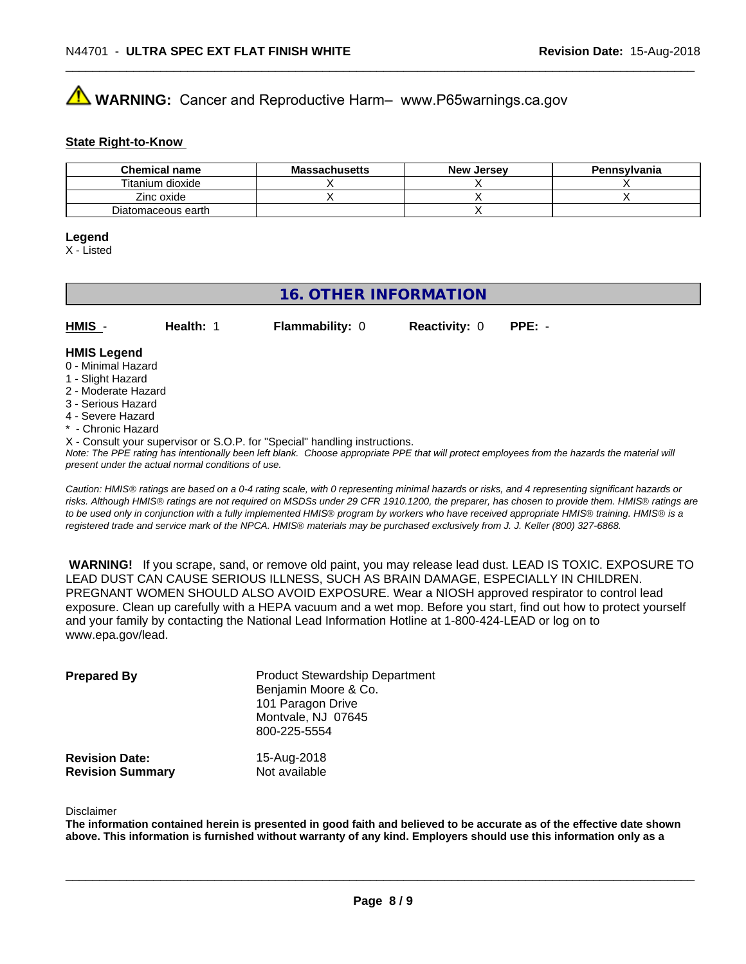# **AVIMARNING:** Cancer and Reproductive Harm– www.P65warnings.ca.gov

#### **State Right-to-Know**

| <b>Chemical name</b> | <b>Massachusetts</b> | <b>New Jersey</b> | Pennsylvania |
|----------------------|----------------------|-------------------|--------------|
| Titanium dioxide     |                      |                   |              |
| Zinc oxide           |                      |                   |              |
| Diatomaceous earth   |                      |                   |              |

#### **Legend**

X - Listed

# **16. OTHER INFORMATION**

| $HMIS -$           | Health: | <b>Flammability: 0</b> | <b>Reactivity: 0</b> | $PPE: -$ |  |
|--------------------|---------|------------------------|----------------------|----------|--|
| <b>HMIS Legend</b> |         |                        |                      |          |  |

# 0 - Minimal Hazard

- 1 Slight Hazard
- 2 Moderate Hazard
- 3 Serious Hazard
- 4 Severe Hazard
- \* Chronic Hazard
- X Consult your supervisor or S.O.P. for "Special" handling instructions.

*Note: The PPE rating has intentionally been left blank. Choose appropriate PPE that will protect employees from the hazards the material will present under the actual normal conditions of use.*

*Caution: HMISÒ ratings are based on a 0-4 rating scale, with 0 representing minimal hazards or risks, and 4 representing significant hazards or risks. Although HMISÒ ratings are not required on MSDSs under 29 CFR 1910.1200, the preparer, has chosen to provide them. HMISÒ ratings are to be used only in conjunction with a fully implemented HMISÒ program by workers who have received appropriate HMISÒ training. HMISÒ is a registered trade and service mark of the NPCA. HMISÒ materials may be purchased exclusively from J. J. Keller (800) 327-6868.*

 **WARNING!** If you scrape, sand, or remove old paint, you may release lead dust. LEAD IS TOXIC. EXPOSURE TO LEAD DUST CAN CAUSE SERIOUS ILLNESS, SUCH AS BRAIN DAMAGE, ESPECIALLY IN CHILDREN. PREGNANT WOMEN SHOULD ALSO AVOID EXPOSURE.Wear a NIOSH approved respirator to control lead exposure. Clean up carefully with a HEPA vacuum and a wet mop. Before you start, find out how to protect yourself and your family by contacting the National Lead Information Hotline at 1-800-424-LEAD or log on to www.epa.gov/lead.

| <b>Prepared By</b>                               | <b>Product Stewardship Department</b><br>Benjamin Moore & Co.<br>101 Paragon Drive<br>Montvale, NJ 07645<br>800-225-5554 |  |
|--------------------------------------------------|--------------------------------------------------------------------------------------------------------------------------|--|
| <b>Revision Date:</b><br><b>Revision Summary</b> | 15-Aug-2018<br>Not available                                                                                             |  |

#### Disclaimer

The information contained herein is presented in good faith and believed to be accurate as of the effective date shown above. This information is furnished without warranty of any kind. Employers should use this information only as a